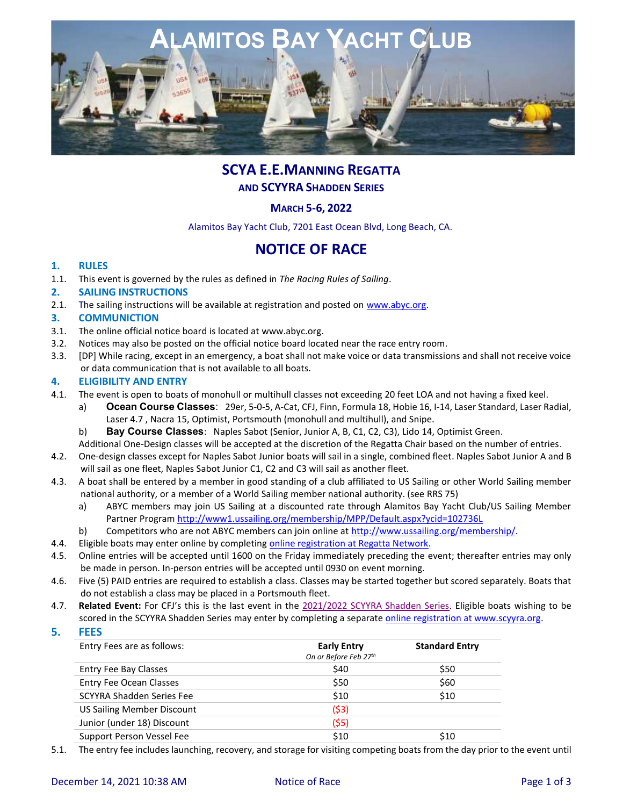

# **SCYA E.E.MANNING REGATTA AND SCYYRA SHADDEN SERIES**

# **MARCH 5-6, 2022**

Alamitos Bay Yacht Club, 7201 East Ocean Blvd, Long Beach, CA.

# **NOTICE OF RACE**

### **1. RULES**

1.1. This event is governed by the rules as defined in *The Racing Rules of Sailing*.

#### **2. SAILING INSTRUCTIONS**

2.1. The sailing instructions will be available at registration and posted on [www.abyc.org.](http://www.abyc.org/)

#### **3. COMMUNICTION**

- 3.1. The online official notice board is located at [www.abyc.org.](http://www.abyc.org/)
- 3.2. Notices may also be posted on the official notice board located near the race entry room.
- 3.3. [DP] While racing, except in an emergency, a boat shall not make voice or data transmissions and shall not receive voice or data communication that is not available to all boats.

#### **4. ELIGIBILITY AND ENTRY**

- 4.1. The event is open to boats of monohull or multihull classes not exceeding 20 feet LOA and not having a fixed keel.
	- a) **Ocean Course Classes**: 29er, 5-0-5, A-Cat, CFJ, Finn, Formula 18, Hobie 16, I-14, Laser Standard, Laser Radial, Laser 4.7 , Nacra 15, Optimist, Portsmouth (monohull and multihull), and Snipe.

b) **Bay Course Classes**: Naples Sabot (Senior, Junior A, B, C1, C2, C3), Lido 14, Optimist Green. Additional One-Design classes will be accepted at the discretion of the Regatta Chair based on the number of entries.

- 4.2. One-design classes except for Naples Sabot Junior boats will sail in a single, combined fleet. Naples Sabot Junior A and B will sail as one fleet, Naples Sabot Junior C1, C2 and C3 will sail as another fleet.
- 4.3. A boat shall be entered by a member in good standing of a club affiliated to US Sailing or other World Sailing member national authority, or a member of a World Sailing member national authority. (see RRS 75)
	- a) ABYC members may join US Sailing at a discounted rate through Alamitos Bay Yacht Club/US Sailing Member Partner Program<http://www1.ussailing.org/membership/MPP/Default.aspx?ycid=102736L>
	- b) Competitors who are not ABYC members can join online at [http://www.ussailing.org/membership/.](http://www.ussailing.org/membership/)
- 4.4. Eligible boats may enter online by completing [online registration at Regatta Network.](http://www.regattanetwork.com/clubmgmt/applet_club_events.php?CLUB_ID=43)
- 4.5. Online entries will be accepted until 1600 on the Friday immediately preceding the event; thereafter entries may only be made in person. In-person entries will be accepted until 0930 on event morning.
- 4.6. Five (5) PAID entries are required to establish a class. Classes may be started together but scored separately. Boats that do not establish a class may be placed in a Portsmouth fleet.
- 4.7. **Related Event:** For CFJ's this is the last event in the 2021/2022 [SCYYRA Shadden Series.](https://www.scyyra.org/series/17/shadden-info) Eligible boats wishing to be scored in the SCYYRA Shadden Series may enter by completing a separate [online registration at www.scyyra.org.](http://www.scyyra.org/)
- **5. FEES**

| Entry Fees are as follows:        | <b>Early Entry</b><br>On or Before Feb 27th | <b>Standard Entry</b> |
|-----------------------------------|---------------------------------------------|-----------------------|
| <b>Entry Fee Bay Classes</b>      | \$40                                        | \$50                  |
| <b>Entry Fee Ocean Classes</b>    | \$50                                        | \$60                  |
| SCYYRA Shadden Series Fee         | \$10                                        | \$10                  |
| <b>US Sailing Member Discount</b> | (53)                                        |                       |
| Junior (under 18) Discount        | (55)                                        |                       |
| Support Person Vessel Fee         | \$10                                        | \$10                  |

5.1. The entry fee includes launching, recovery, and storage for visiting competing boats from the day prior to the event until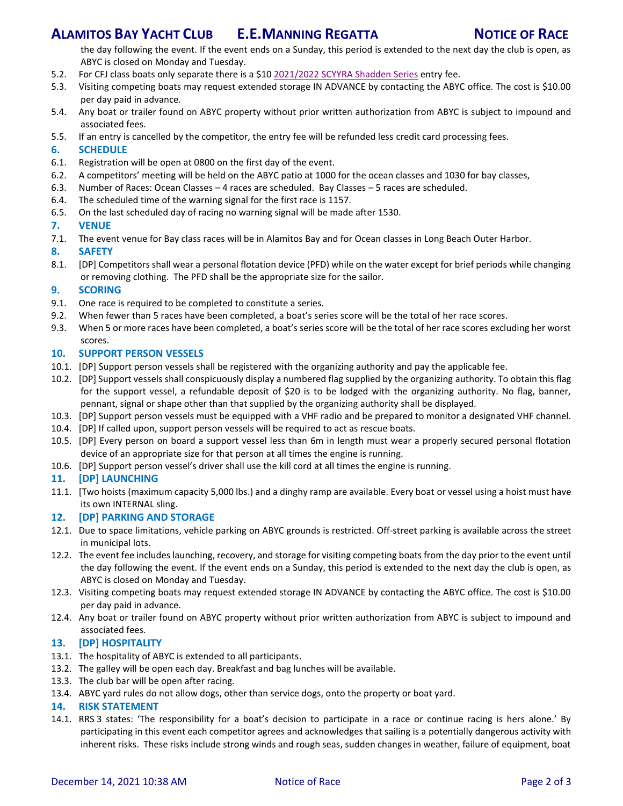# **ALAMITOS BAY YACHT CLUB E.E.MANNING REGATTA NOTICE OF RACE**

the day following the event. If the event ends on a Sunday, this period is extended to the next day the club is open, as ABYC is closed on Monday and Tuesday.

- 5.2. For CFJ class boats only separate there is a \$10 2021/2022 [SCYYRA Shadden Series](https://www.scyyra.org/series/17/shadden-info) entry fee.
- 5.3. Visiting competing boats may request extended storage IN ADVANCE by contacting the ABYC office. The cost is \$10.00 per day paid in advance.
- 5.4. Any boat or trailer found on ABYC property without prior written authorization from ABYC is subject to impound and associated fees.
- 5.5. If an entry is cancelled by the competitor, the entry fee will be refunded less credit card processing fees.

#### **6. SCHEDULE**

- 6.1. Registration will be open at 0800 on the first day of the event.
- 6.2. A competitors' meeting will be held on the ABYC patio at 1000 for the ocean classes and 1030 for bay classes,
- 6.3. Number of Races: Ocean Classes 4 races are scheduled. Bay Classes 5 races are scheduled.
- 6.4. The scheduled time of the warning signal for the first race is 1157.
- 6.5. On the last scheduled day of racing no warning signal will be made after 1530.

#### **7. VENUE**

7.1. The event venue for Bay class races will be in Alamitos Bay and for Ocean classes in Long Beach Outer Harbor.

#### **8. SAFETY**

8.1. [DP] Competitors shall wear a personal flotation device (PFD) while on the water except for brief periods while changing or removing clothing. The PFD shall be the appropriate size for the sailor.

### **9. SCORING**

- 9.1. One race is required to be completed to constitute a series.
- 9.2. When fewer than 5 races have been completed, a boat's series score will be the total of her race scores.
- 9.3. When 5 or more races have been completed, a boat's series score will be the total of her race scores excluding her worst scores.

### **10. SUPPORT PERSON VESSELS**

- 10.1. [DP] Support person vessels shall be registered with the organizing authority and pay the applicable fee.
- 10.2. [DP] Support vessels shall conspicuously display a numbered flag supplied by the organizing authority. To obtain this flag for the support vessel, a refundable deposit of \$20 is to be lodged with the organizing authority. No flag, banner, pennant, signal or shape other than that supplied by the organizing authority shall be displayed.
- 10.3. [DP] Support person vessels must be equipped with a VHF radio and be prepared to monitor a designated VHF channel.
- 10.4. [DP] If called upon, support person vessels will be required to act as rescue boats.
- 10.5. [DP] Every person on board a support vessel less than 6m in length must wear a properly secured personal flotation device of an appropriate size for that person at all times the engine is running.
- 10.6. [DP] Support person vessel's driver shall use the kill cord at all times the engine is running.

#### **11. [DP] LAUNCHING**

11.1. [Two hoists (maximum capacity 5,000 lbs.) and a dinghy ramp are available. Every boat or vessel using a hoist must have its own INTERNAL sling.

#### **12. [DP] PARKING AND STORAGE**

- 12.1. Due to space limitations, vehicle parking on ABYC grounds is restricted. Off-street parking is available across the street in municipal lots.
- 12.2. The event fee includes launching, recovery, and storage for visiting competing boats from the day prior to the event until the day following the event. If the event ends on a Sunday, this period is extended to the next day the club is open, as ABYC is closed on Monday and Tuesday.
- 12.3. Visiting competing boats may request extended storage IN ADVANCE by contacting the ABYC office. The cost is \$10.00 per day paid in advance.
- 12.4. Any boat or trailer found on ABYC property without prior written authorization from ABYC is subject to impound and associated fees.

## **13. [DP] HOSPITALITY**

- 13.1. The hospitality of ABYC is extended to all participants.
- 13.2. The galley will be open each day. Breakfast and bag lunches will be available.
- 13.3. The club bar will be open after racing.
- 13.4. ABYC yard rules do not allow dogs, other than service dogs, onto the property or boat yard.

#### **14. RISK STATEMENT**

14.1. RRS 3 states: 'The responsibility for a boat's decision to participate in a race or continue racing is hers alone.' By participating in this event each competitor agrees and acknowledges that sailing is a potentially dangerous activity with inherent risks. These risks include strong winds and rough seas, sudden changes in weather, failure of equipment, boat